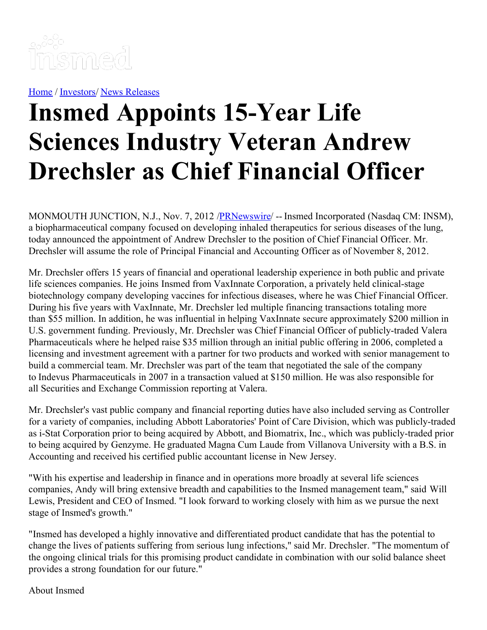

[Home](https://insmed.com/) / [Investors](https://investor.insmed.com/index)/ News [Releases](https://investor.insmed.com/releases)

## **Insmed Appoints 15-Year Life Sciences Industry Veteran Andrew Drechsler as Chief Financial Officer**

MONMOUTH JUNCTION, N.J., Nov. 7, 2012 [/PRNewswire](http://www.prnewswire.com/)/ -- Insmed Incorporated (Nasdaq CM: INSM), a biopharmaceutical company focused on developing inhaled therapeutics for serious diseases of the lung, today announced the appointment of Andrew Drechsler to the position of Chief Financial Officer. Mr. Drechsler will assume the role of Principal Financial and Accounting Officer as of November 8, 2012.

Mr. Drechsler offers 15 years of financial and operational leadership experience in both public and private life sciences companies. He joins Insmed from VaxInnate Corporation, a privately held clinical-stage biotechnology company developing vaccines for infectious diseases, where he was Chief Financial Officer. During his five years with VaxInnate, Mr. Drechsler led multiple financing transactions totaling more than \$55 million. In addition, he was influential in helping VaxInnate secure approximately \$200 million in U.S. government funding. Previously, Mr. Drechsler was Chief Financial Officer of publicly-traded Valera Pharmaceuticals where he helped raise \$35 million through an initial public offering in 2006, completed a licensing and investment agreement with a partner for two products and worked with senior management to build a commercial team. Mr. Drechsler was part of the team that negotiated the sale of the company to Indevus Pharmaceuticals in 2007 in a transaction valued at \$150 million. He was also responsible for all Securities and Exchange Commission reporting at Valera.

Mr. Drechsler's vast public company and financial reporting duties have also included serving as Controller for a variety of companies, including Abbott Laboratories' Point of Care Division, which was publicly-traded as i-Stat Corporation prior to being acquired by Abbott, and Biomatrix, Inc., which was publicly-traded prior to being acquired by Genzyme. He graduated Magna Cum Laude from Villanova University with a B.S. in Accounting and received his certified public accountant license in New Jersey.

"With his expertise and leadership in finance and in operations more broadly at several life sciences companies, Andy will bring extensive breadth and capabilities to the Insmed management team," said Will Lewis, President and CEO of Insmed. "I look forward to working closely with him as we pursue the next stage of Insmed's growth."

"Insmed has developed a highly innovative and differentiated product candidate that has the potential to change the lives of patients suffering from serious lung infections," said Mr. Drechsler. "The momentum of the ongoing clinical trials for this promising product candidate in combination with our solid balance sheet provides a strong foundation for our future."

About Insmed